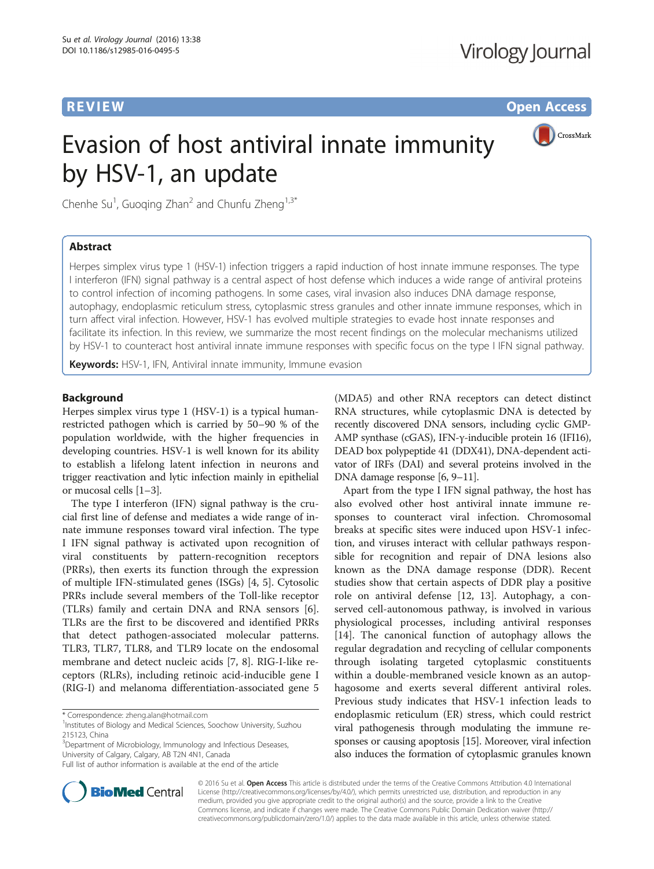**REVIEW CONSTRUCTION CONSTRUCTION CONSTRUCTS** 



# Evasion of host antiviral innate immunity by HSV-1, an update

Chenhe Su<sup>1</sup>, Guoqing Zhan<sup>2</sup> and Chunfu Zheng<sup>1,3\*</sup>

### Abstract

Herpes simplex virus type 1 (HSV-1) infection triggers a rapid induction of host innate immune responses. The type I interferon (IFN) signal pathway is a central aspect of host defense which induces a wide range of antiviral proteins to control infection of incoming pathogens. In some cases, viral invasion also induces DNA damage response, autophagy, endoplasmic reticulum stress, cytoplasmic stress granules and other innate immune responses, which in turn affect viral infection. However, HSV-1 has evolved multiple strategies to evade host innate responses and facilitate its infection. In this review, we summarize the most recent findings on the molecular mechanisms utilized by HSV-1 to counteract host antiviral innate immune responses with specific focus on the type I IFN signal pathway.

Keywords: HSV-1, IFN, Antiviral innate immunity, Immune evasion

#### Background

Herpes simplex virus type 1 (HSV-1) is a typical humanrestricted pathogen which is carried by 50–90 % of the population worldwide, with the higher frequencies in developing countries. HSV-1 is well known for its ability to establish a lifelong latent infection in neurons and trigger reactivation and lytic infection mainly in epithelial or mucosal cells [[1](#page-6-0)–[3](#page-6-0)].

The type I interferon (IFN) signal pathway is the crucial first line of defense and mediates a wide range of innate immune responses toward viral infection. The type I IFN signal pathway is activated upon recognition of viral constituents by pattern-recognition receptors (PRRs), then exerts its function through the expression of multiple IFN-stimulated genes (ISGs) [[4, 5](#page-6-0)]. Cytosolic PRRs include several members of the Toll-like receptor (TLRs) family and certain DNA and RNA sensors [\[6](#page-6-0)]. TLRs are the first to be discovered and identified PRRs that detect pathogen-associated molecular patterns. TLR3, TLR7, TLR8, and TLR9 locate on the endosomal membrane and detect nucleic acids [[7, 8](#page-6-0)]. RIG-I-like receptors (RLRs), including retinoic acid-inducible gene I (RIG-I) and melanoma differentiation-associated gene 5

\* Correspondence: [zheng.alan@hotmail.com](mailto:zheng.alan@hotmail.com) <sup>1</sup>

<sup>1</sup> Institutes of Biology and Medical Sciences, Soochow University, Suzhou 215123, China

<sup>3</sup>Department of Microbiology, Immunology and Infectious Deseases, University of Calgary, Calgary, AB T2N 4N1, Canada

(MDA5) and other RNA receptors can detect distinct RNA structures, while cytoplasmic DNA is detected by recently discovered DNA sensors, including cyclic GMP-AMP synthase (cGAS), IFN-γ-inducible protein 16 (IFI16), DEAD box polypeptide 41 (DDX41), DNA-dependent activator of IRFs (DAI) and several proteins involved in the DNA damage response [[6, 9](#page-6-0)–[11](#page-6-0)].

Apart from the type I IFN signal pathway, the host has also evolved other host antiviral innate immune responses to counteract viral infection. Chromosomal breaks at specific sites were induced upon HSV-1 infection, and viruses interact with cellular pathways responsible for recognition and repair of DNA lesions also known as the DNA damage response (DDR). Recent studies show that certain aspects of DDR play a positive role on antiviral defense [[12, 13](#page-6-0)]. Autophagy, a conserved cell-autonomous pathway, is involved in various physiological processes, including antiviral responses [[14\]](#page-6-0). The canonical function of autophagy allows the regular degradation and recycling of cellular components through isolating targeted cytoplasmic constituents within a double-membraned vesicle known as an autophagosome and exerts several different antiviral roles. Previous study indicates that HSV-1 infection leads to endoplasmic reticulum (ER) stress, which could restrict viral pathogenesis through modulating the immune responses or causing apoptosis [\[15\]](#page-6-0). Moreover, viral infection also induces the formation of cytoplasmic granules known



© 2016 Su et al. Open Access This article is distributed under the terms of the Creative Commons Attribution 4.0 International License ([http://creativecommons.org/licenses/by/4.0/\)](http://creativecommons.org/licenses/by/4.0/), which permits unrestricted use, distribution, and reproduction in any medium, provided you give appropriate credit to the original author(s) and the source, provide a link to the Creative Commons license, and indicate if changes were made. The Creative Commons Public Domain Dedication waiver ([http://](http://creativecommons.org/publicdomain/zero/1.0/) [creativecommons.org/publicdomain/zero/1.0/\)](http://creativecommons.org/publicdomain/zero/1.0/) applies to the data made available in this article, unless otherwise stated.

Full list of author information is available at the end of the article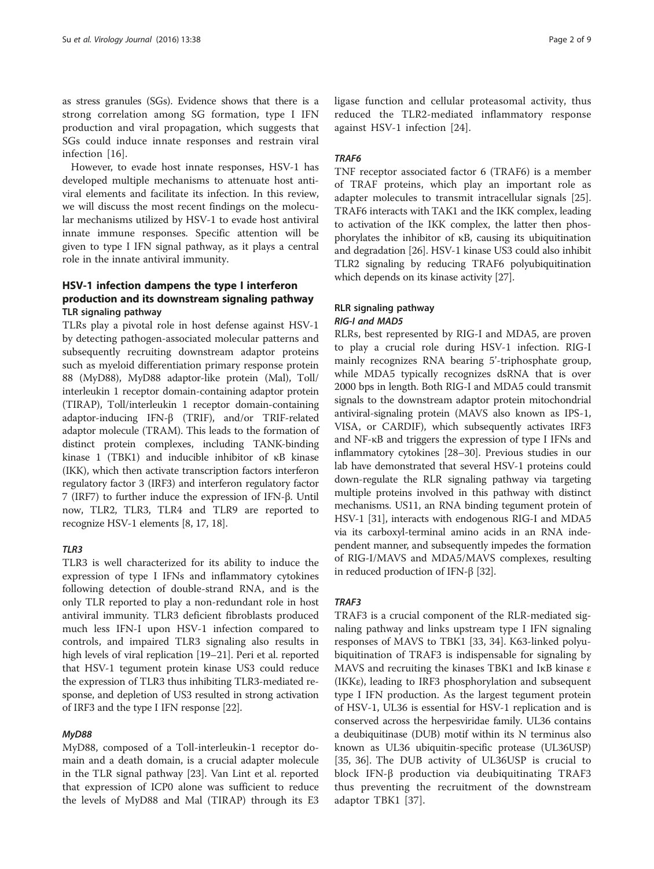as stress granules (SGs). Evidence shows that there is a strong correlation among SG formation, type I IFN production and viral propagation, which suggests that SGs could induce innate responses and restrain viral infection [[16\]](#page-6-0).

However, to evade host innate responses, HSV-1 has developed multiple mechanisms to attenuate host antiviral elements and facilitate its infection. In this review, we will discuss the most recent findings on the molecular mechanisms utilized by HSV-1 to evade host antiviral innate immune responses. Specific attention will be given to type I IFN signal pathway, as it plays a central role in the innate antiviral immunity.

#### HSV-1 infection dampens the type I interferon production and its downstream signaling pathway TLR signaling pathway

TLRs play a pivotal role in host defense against HSV-1 by detecting pathogen-associated molecular patterns and subsequently recruiting downstream adaptor proteins such as myeloid differentiation primary response protein 88 (MyD88), MyD88 adaptor-like protein (Mal), Toll/ interleukin 1 receptor domain-containing adaptor protein (TIRAP), Toll/interleukin 1 receptor domain-containing adaptor-inducing IFN-β (TRIF), and/or TRIF-related adaptor molecule (TRAM). This leads to the formation of distinct protein complexes, including TANK-binding kinase 1 (TBK1) and inducible inhibitor of κB kinase (IKK), which then activate transcription factors interferon regulatory factor 3 (IRF3) and interferon regulatory factor 7 (IRF7) to further induce the expression of IFN-β. Until now, TLR2, TLR3, TLR4 and TLR9 are reported to recognize HSV-1 elements [[8, 17, 18](#page-6-0)].

#### TI<sub>R3</sub>

TLR3 is well characterized for its ability to induce the expression of type I IFNs and inflammatory cytokines following detection of double-strand RNA, and is the only TLR reported to play a non-redundant role in host antiviral immunity. TLR3 deficient fibroblasts produced much less IFN-I upon HSV-1 infection compared to controls, and impaired TLR3 signaling also results in high levels of viral replication [\[19](#page-6-0)–[21](#page-6-0)]. Peri et al. reported that HSV-1 tegument protein kinase US3 could reduce the expression of TLR3 thus inhibiting TLR3-mediated response, and depletion of US3 resulted in strong activation of IRF3 and the type I IFN response [[22](#page-6-0)].

#### MyD88

MyD88, composed of a Toll-interleukin-1 receptor domain and a death domain, is a crucial adapter molecule in the TLR signal pathway [\[23](#page-6-0)]. Van Lint et al. reported that expression of ICP0 alone was sufficient to reduce the levels of MyD88 and Mal (TIRAP) through its E3 ligase function and cellular proteasomal activity, thus reduced the TLR2-mediated inflammatory response against HSV-1 infection [[24\]](#page-6-0).

#### TRAF6

TNF receptor associated factor 6 (TRAF6) is a member of TRAF proteins, which play an important role as adapter molecules to transmit intracellular signals [\[25](#page-6-0)]. TRAF6 interacts with TAK1 and the IKK complex, leading to activation of the IKK complex, the latter then phosphorylates the inhibitor of κB, causing its ubiquitination and degradation [\[26\]](#page-6-0). HSV-1 kinase US3 could also inhibit TLR2 signaling by reducing TRAF6 polyubiquitination which depends on its kinase activity [[27](#page-6-0)].

#### RLR signaling pathway RIG-I and MAD5

RLRs, best represented by RIG-I and MDA5, are proven to play a crucial role during HSV-1 infection. RIG-I mainly recognizes RNA bearing 5'-triphosphate group, while MDA5 typically recognizes dsRNA that is over 2000 bps in length. Both RIG-I and MDA5 could transmit signals to the downstream adaptor protein mitochondrial antiviral-signaling protein (MAVS also known as IPS-1, VISA, or CARDIF), which subsequently activates IRF3 and NF-κB and triggers the expression of type I IFNs and inflammatory cytokines [[28](#page-6-0)–[30\]](#page-6-0). Previous studies in our lab have demonstrated that several HSV-1 proteins could down-regulate the RLR signaling pathway via targeting multiple proteins involved in this pathway with distinct mechanisms. US11, an RNA binding tegument protein of HSV-1 [\[31\]](#page-6-0), interacts with endogenous RIG-I and MDA5 via its carboxyl-terminal amino acids in an RNA independent manner, and subsequently impedes the formation of RIG-I/MAVS and MDA5/MAVS complexes, resulting in reduced production of IFN-β [\[32\]](#page-6-0).

#### TRAF3

TRAF3 is a crucial component of the RLR-mediated signaling pathway and links upstream type I IFN signaling responses of MAVS to TBK1 [[33, 34\]](#page-6-0). K63-linked polyubiquitination of TRAF3 is indispensable for signaling by MAVS and recruiting the kinases TBK1 and IκB kinase ε (IKKε), leading to IRF3 phosphorylation and subsequent type I IFN production. As the largest tegument protein of HSV-1, UL36 is essential for HSV-1 replication and is conserved across the herpesviridae family. UL36 contains a deubiquitinase (DUB) motif within its N terminus also known as UL36 ubiquitin-specific protease (UL36USP) [[35](#page-6-0), [36](#page-6-0)]. The DUB activity of UL36USP is crucial to block IFN-β production via deubiquitinating TRAF3 thus preventing the recruitment of the downstream adaptor TBK1 [[37\]](#page-6-0).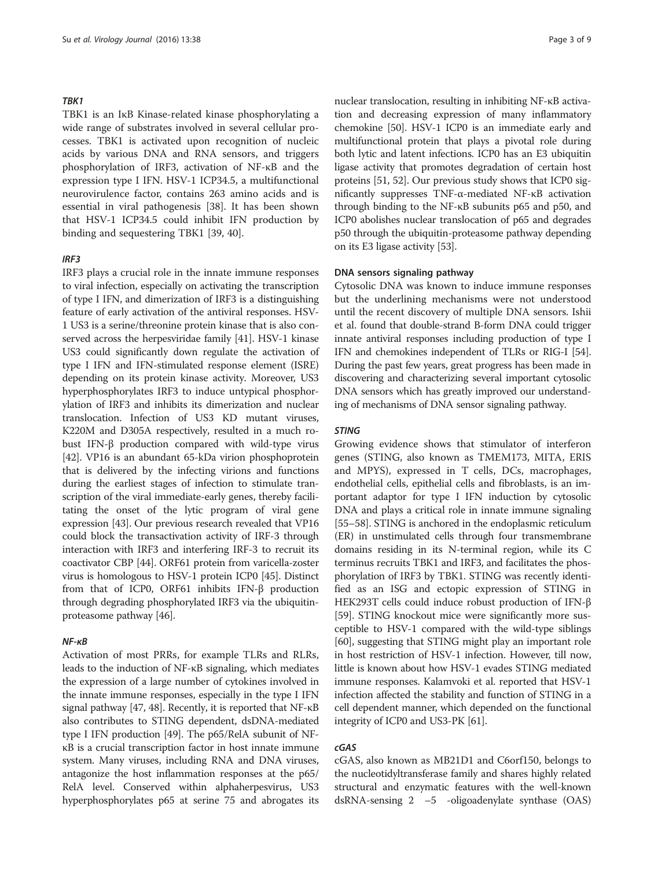#### TBK1

TBK1 is an IκB Kinase-related kinase phosphorylating a wide range of substrates involved in several cellular processes. TBK1 is activated upon recognition of nucleic acids by various DNA and RNA sensors, and triggers phosphorylation of IRF3, activation of NF-κB and the expression type I IFN. HSV-1 ICP34.5, a multifunctional neurovirulence factor, contains 263 amino acids and is essential in viral pathogenesis [[38\]](#page-6-0). It has been shown that HSV-1 ICP34.5 could inhibit IFN production by binding and sequestering TBK1 [\[39, 40\]](#page-6-0).

#### IRF3

IRF3 plays a crucial role in the innate immune responses to viral infection, especially on activating the transcription of type I IFN, and dimerization of IRF3 is a distinguishing feature of early activation of the antiviral responses. HSV-1 US3 is a serine/threonine protein kinase that is also conserved across the herpesviridae family [[41](#page-6-0)]. HSV-1 kinase US3 could significantly down regulate the activation of type I IFN and IFN-stimulated response element (ISRE) depending on its protein kinase activity. Moreover, US3 hyperphosphorylates IRF3 to induce untypical phosphorylation of IRF3 and inhibits its dimerization and nuclear translocation. Infection of US3 KD mutant viruses, K220M and D305A respectively, resulted in a much robust IFN-β production compared with wild-type virus [[42](#page-6-0)]. VP16 is an abundant 65-kDa virion phosphoprotein that is delivered by the infecting virions and functions during the earliest stages of infection to stimulate transcription of the viral immediate-early genes, thereby facilitating the onset of the lytic program of viral gene expression [[43](#page-6-0)]. Our previous research revealed that VP16 could block the transactivation activity of IRF-3 through interaction with IRF3 and interfering IRF-3 to recruit its coactivator CBP [\[44](#page-6-0)]. ORF61 protein from varicella-zoster virus is homologous to HSV-1 protein ICP0 [\[45\]](#page-6-0). Distinct from that of ICP0, ORF61 inhibits IFN-β production through degrading phosphorylated IRF3 via the ubiquitinproteasome pathway [[46](#page-6-0)].

#### NF-κB

Activation of most PRRs, for example TLRs and RLRs, leads to the induction of NF-κB signaling, which mediates the expression of a large number of cytokines involved in the innate immune responses, especially in the type I IFN signal pathway [\[47, 48](#page-6-0)]. Recently, it is reported that NF-κB also contributes to STING dependent, dsDNA-mediated type I IFN production [\[49](#page-6-0)]. The p65/RelA subunit of NFκB is a crucial transcription factor in host innate immune system. Many viruses, including RNA and DNA viruses, antagonize the host inflammation responses at the p65/ RelA level. Conserved within alphaherpesvirus, US3 hyperphosphorylates p65 at serine 75 and abrogates its nuclear translocation, resulting in inhibiting NF-κB activation and decreasing expression of many inflammatory chemokine [[50](#page-7-0)]. HSV-1 ICP0 is an immediate early and multifunctional protein that plays a pivotal role during both lytic and latent infections. ICP0 has an E3 ubiquitin ligase activity that promotes degradation of certain host proteins [\[51, 52](#page-7-0)]. Our previous study shows that ICP0 significantly suppresses TNF-α-mediated NF-κB activation through binding to the NF-κB subunits p65 and p50, and ICP0 abolishes nuclear translocation of p65 and degrades p50 through the ubiquitin-proteasome pathway depending on its E3 ligase activity [\[53\]](#page-7-0).

#### DNA sensors signaling pathway

Cytosolic DNA was known to induce immune responses but the underlining mechanisms were not understood until the recent discovery of multiple DNA sensors. Ishii et al. found that double-strand B-form DNA could trigger innate antiviral responses including production of type I IFN and chemokines independent of TLRs or RIG-I [\[54](#page-7-0)]. During the past few years, great progress has been made in discovering and characterizing several important cytosolic DNA sensors which has greatly improved our understanding of mechanisms of DNA sensor signaling pathway.

#### STING

Growing evidence shows that stimulator of interferon genes (STING, also known as TMEM173, MITA, ERIS and MPYS), expressed in T cells, DCs, macrophages, endothelial cells, epithelial cells and fibroblasts, is an important adaptor for type I IFN induction by cytosolic DNA and plays a critical role in innate immune signaling [[55](#page-7-0)–[58\]](#page-7-0). STING is anchored in the endoplasmic reticulum (ER) in unstimulated cells through four transmembrane domains residing in its N-terminal region, while its C terminus recruits TBK1 and IRF3, and facilitates the phosphorylation of IRF3 by TBK1. STING was recently identified as an ISG and ectopic expression of STING in HEK293T cells could induce robust production of IFN-β [[59](#page-7-0)]. STING knockout mice were significantly more susceptible to HSV-1 compared with the wild-type siblings [[60](#page-7-0)], suggesting that STING might play an important role in host restriction of HSV-1 infection. However, till now, little is known about how HSV-1 evades STING mediated immune responses. Kalamvoki et al. reported that HSV-1 infection affected the stability and function of STING in a cell dependent manner, which depended on the functional integrity of ICP0 and US3-PK [\[61\]](#page-7-0).

#### cGAS

cGAS, also known as MB21D1 and C6orf150, belongs to the nucleotidyltransferase family and shares highly related structural and enzymatic features with the well-known dsRNA-sensing 2 –5 -oligoadenylate synthase (OAS)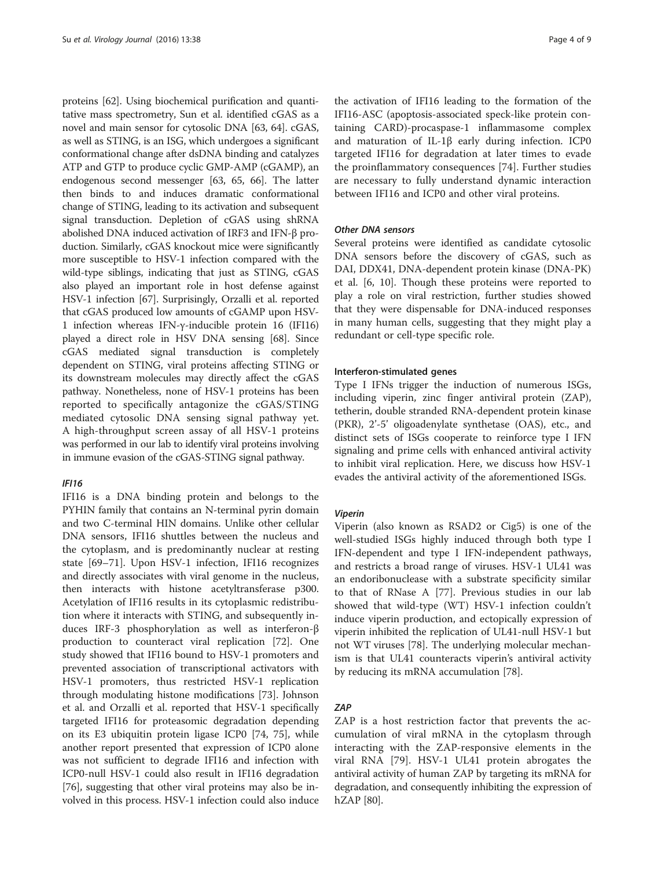proteins [\[62\]](#page-7-0). Using biochemical purification and quantitative mass spectrometry, Sun et al. identified cGAS as a novel and main sensor for cytosolic DNA [\[63, 64\]](#page-7-0). cGAS, as well as STING, is an ISG, which undergoes a significant conformational change after dsDNA binding and catalyzes ATP and GTP to produce cyclic GMP-AMP (cGAMP), an endogenous second messenger [[63](#page-7-0), [65, 66\]](#page-7-0). The latter then binds to and induces dramatic conformational change of STING, leading to its activation and subsequent signal transduction. Depletion of cGAS using shRNA abolished DNA induced activation of IRF3 and IFN-β production. Similarly, cGAS knockout mice were significantly more susceptible to HSV-1 infection compared with the wild-type siblings, indicating that just as STING, cGAS also played an important role in host defense against HSV-1 infection [[67](#page-7-0)]. Surprisingly, Orzalli et al. reported that cGAS produced low amounts of cGAMP upon HSV-1 infection whereas IFN-γ-inducible protein 16 (IFI16) played a direct role in HSV DNA sensing [\[68\]](#page-7-0). Since cGAS mediated signal transduction is completely dependent on STING, viral proteins affecting STING or its downstream molecules may directly affect the cGAS pathway. Nonetheless, none of HSV-1 proteins has been reported to specifically antagonize the cGAS/STING mediated cytosolic DNA sensing signal pathway yet. A high-throughput screen assay of all HSV-1 proteins was performed in our lab to identify viral proteins involving in immune evasion of the cGAS-STING signal pathway.

#### IFI16

IFI16 is a DNA binding protein and belongs to the PYHIN family that contains an N-terminal pyrin domain and two C-terminal HIN domains. Unlike other cellular DNA sensors, IFI16 shuttles between the nucleus and the cytoplasm, and is predominantly nuclear at resting state [\[69](#page-7-0)–[71](#page-7-0)]. Upon HSV-1 infection, IFI16 recognizes and directly associates with viral genome in the nucleus, then interacts with histone acetyltransferase p300. Acetylation of IFI16 results in its cytoplasmic redistribution where it interacts with STING, and subsequently induces IRF-3 phosphorylation as well as interferon-β production to counteract viral replication [\[72](#page-7-0)]. One study showed that IFI16 bound to HSV-1 promoters and prevented association of transcriptional activators with HSV-1 promoters, thus restricted HSV-1 replication through modulating histone modifications [[73](#page-7-0)]. Johnson et al. and Orzalli et al. reported that HSV-1 specifically targeted IFI16 for proteasomic degradation depending on its E3 ubiquitin protein ligase ICP0 [\[74](#page-7-0), [75\]](#page-7-0), while another report presented that expression of ICP0 alone was not sufficient to degrade IFI16 and infection with ICP0-null HSV-1 could also result in IFI16 degradation [[76\]](#page-7-0), suggesting that other viral proteins may also be involved in this process. HSV-1 infection could also induce

the activation of IFI16 leading to the formation of the IFI16-ASC (apoptosis-associated speck-like protein containing CARD)-procaspase-1 inflammasome complex and maturation of IL-1β early during infection. ICP0 targeted IFI16 for degradation at later times to evade the proinflammatory consequences [\[74](#page-7-0)]. Further studies are necessary to fully understand dynamic interaction between IFI16 and ICP0 and other viral proteins.

#### Other DNA sensors

Several proteins were identified as candidate cytosolic DNA sensors before the discovery of cGAS, such as DAI, DDX41, DNA-dependent protein kinase (DNA-PK) et al. [\[6, 10\]](#page-6-0). Though these proteins were reported to play a role on viral restriction, further studies showed that they were dispensable for DNA-induced responses in many human cells, suggesting that they might play a redundant or cell-type specific role.

#### Interferon-stimulated genes

Type I IFNs trigger the induction of numerous ISGs, including viperin, zinc finger antiviral protein (ZAP), tetherin, double stranded RNA-dependent protein kinase (PKR), 2'-5' oligoadenylate synthetase (OAS), etc., and distinct sets of ISGs cooperate to reinforce type I IFN signaling and prime cells with enhanced antiviral activity to inhibit viral replication. Here, we discuss how HSV-1 evades the antiviral activity of the aforementioned ISGs.

#### Viperin

Viperin (also known as RSAD2 or Cig5) is one of the well-studied ISGs highly induced through both type I IFN-dependent and type I IFN-independent pathways, and restricts a broad range of viruses. HSV-1 UL41 was an endoribonuclease with a substrate specificity similar to that of RNase A [[77\]](#page-7-0). Previous studies in our lab showed that wild-type (WT) HSV-1 infection couldn't induce viperin production, and ectopically expression of viperin inhibited the replication of UL41-null HSV-1 but not WT viruses [[78](#page-7-0)]. The underlying molecular mechanism is that UL41 counteracts viperin's antiviral activity by reducing its mRNA accumulation [\[78](#page-7-0)].

#### ZAP

ZAP is a host restriction factor that prevents the accumulation of viral mRNA in the cytoplasm through interacting with the ZAP-responsive elements in the viral RNA [[79](#page-7-0)]. HSV-1 UL41 protein abrogates the antiviral activity of human ZAP by targeting its mRNA for degradation, and consequently inhibiting the expression of hZAP [\[80\]](#page-7-0).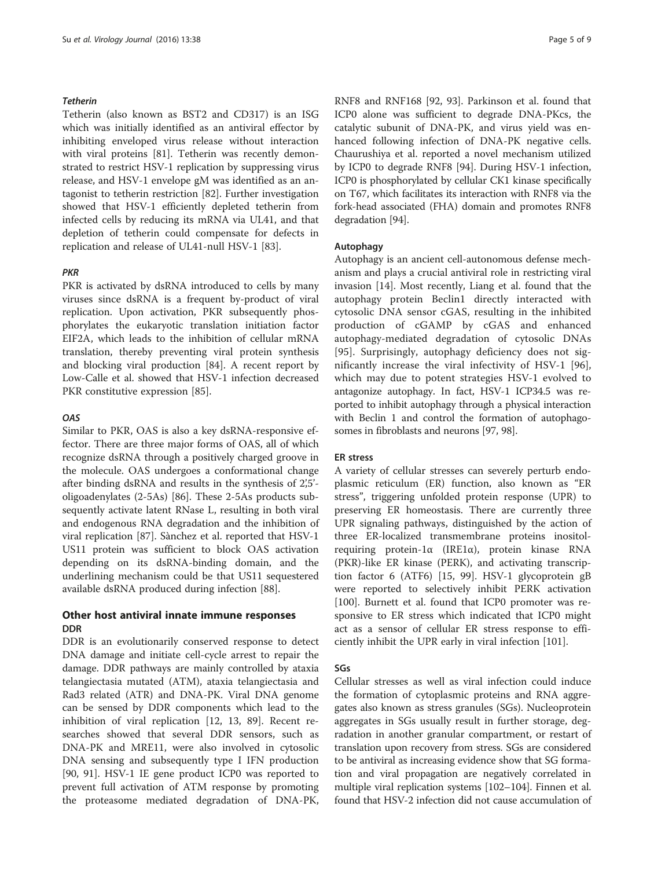#### Tetherin

Tetherin (also known as BST2 and CD317) is an ISG which was initially identified as an antiviral effector by inhibiting enveloped virus release without interaction with viral proteins [\[81](#page-7-0)]. Tetherin was recently demonstrated to restrict HSV-1 replication by suppressing virus release, and HSV-1 envelope gM was identified as an antagonist to tetherin restriction [[82\]](#page-7-0). Further investigation showed that HSV-1 efficiently depleted tetherin from infected cells by reducing its mRNA via UL41, and that depletion of tetherin could compensate for defects in replication and release of UL41-null HSV-1 [\[83\]](#page-7-0).

#### PKR

PKR is activated by dsRNA introduced to cells by many viruses since dsRNA is a frequent by-product of viral replication. Upon activation, PKR subsequently phosphorylates the eukaryotic translation initiation factor EIF2A, which leads to the inhibition of cellular mRNA translation, thereby preventing viral protein synthesis and blocking viral production [\[84](#page-7-0)]. A recent report by Low-Calle et al. showed that HSV-1 infection decreased PKR constitutive expression [[85](#page-7-0)].

#### **OAS**

Similar to PKR, OAS is also a key dsRNA-responsive effector. There are three major forms of OAS, all of which recognize dsRNA through a positively charged groove in the molecule. OAS undergoes a conformational change after binding dsRNA and results in the synthesis of 2',5' oligoadenylates (2-5As) [\[86](#page-7-0)]. These 2-5As products subsequently activate latent RNase L, resulting in both viral and endogenous RNA degradation and the inhibition of viral replication [[87](#page-7-0)]. Sànchez et al. reported that HSV-1 US11 protein was sufficient to block OAS activation depending on its dsRNA-binding domain, and the underlining mechanism could be that US11 sequestered available dsRNA produced during infection [\[88\]](#page-7-0).

#### Other host antiviral innate immune responses DDR

DDR is an evolutionarily conserved response to detect DNA damage and initiate cell-cycle arrest to repair the damage. DDR pathways are mainly controlled by ataxia telangiectasia mutated (ATM), ataxia telangiectasia and Rad3 related (ATR) and DNA-PK. Viral DNA genome can be sensed by DDR components which lead to the inhibition of viral replication [\[12](#page-6-0), [13,](#page-6-0) [89\]](#page-7-0). Recent researches showed that several DDR sensors, such as DNA-PK and MRE11, were also involved in cytosolic DNA sensing and subsequently type I IFN production [[90, 91\]](#page-7-0). HSV-1 IE gene product ICP0 was reported to prevent full activation of ATM response by promoting the proteasome mediated degradation of DNA-PK, RNF8 and RNF168 [\[92, 93\]](#page-7-0). Parkinson et al. found that ICP0 alone was sufficient to degrade DNA-PKcs, the catalytic subunit of DNA-PK, and virus yield was enhanced following infection of DNA-PK negative cells. Chaurushiya et al. reported a novel mechanism utilized by ICP0 to degrade RNF8 [[94](#page-7-0)]. During HSV-1 infection, ICP0 is phosphorylated by cellular CK1 kinase specifically on T67, which facilitates its interaction with RNF8 via the fork-head associated (FHA) domain and promotes RNF8 degradation [[94](#page-7-0)].

#### Autophagy

Autophagy is an ancient cell-autonomous defense mechanism and plays a crucial antiviral role in restricting viral invasion [\[14](#page-6-0)]. Most recently, Liang et al. found that the autophagy protein Beclin1 directly interacted with cytosolic DNA sensor cGAS, resulting in the inhibited production of cGAMP by cGAS and enhanced autophagy-mediated degradation of cytosolic DNAs [[95\]](#page-7-0). Surprisingly, autophagy deficiency does not significantly increase the viral infectivity of HSV-1 [\[96](#page-7-0)], which may due to potent strategies HSV-1 evolved to antagonize autophagy. In fact, HSV-1 ICP34.5 was reported to inhibit autophagy through a physical interaction with Beclin 1 and control the formation of autophagosomes in fibroblasts and neurons [\[97, 98](#page-8-0)].

#### ER stress

A variety of cellular stresses can severely perturb endoplasmic reticulum (ER) function, also known as "ER stress", triggering unfolded protein response (UPR) to preserving ER homeostasis. There are currently three UPR signaling pathways, distinguished by the action of three ER-localized transmembrane proteins inositolrequiring protein-1α (IRE1α), protein kinase RNA (PKR)-like ER kinase (PERK), and activating transcription factor 6 (ATF6) [\[15](#page-6-0), [99](#page-8-0)]. HSV-1 glycoprotein gB were reported to selectively inhibit PERK activation [[100\]](#page-8-0). Burnett et al. found that ICP0 promoter was responsive to ER stress which indicated that ICP0 might act as a sensor of cellular ER stress response to efficiently inhibit the UPR early in viral infection [[101](#page-8-0)].

#### SGs

Cellular stresses as well as viral infection could induce the formation of cytoplasmic proteins and RNA aggregates also known as stress granules (SGs). Nucleoprotein aggregates in SGs usually result in further storage, degradation in another granular compartment, or restart of translation upon recovery from stress. SGs are considered to be antiviral as increasing evidence show that SG formation and viral propagation are negatively correlated in multiple viral replication systems [[102](#page-8-0)–[104\]](#page-8-0). Finnen et al. found that HSV-2 infection did not cause accumulation of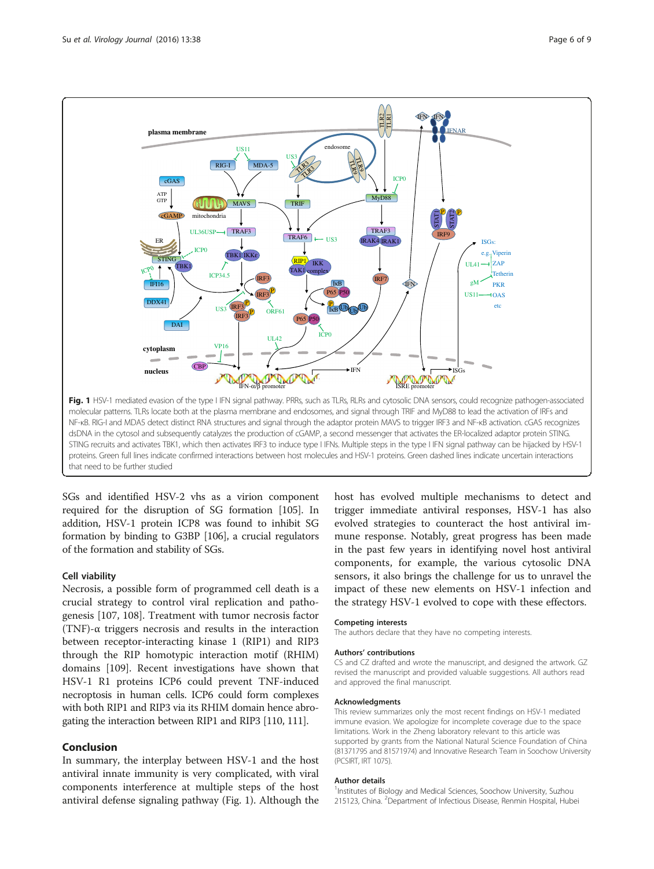



SGs and identified HSV-2 vhs as a virion component required for the disruption of SG formation [[105](#page-8-0)]. In addition, HSV-1 protein ICP8 was found to inhibit SG formation by binding to G3BP [[106](#page-8-0)], a crucial regulators of the formation and stability of SGs.

#### Cell viability

Necrosis, a possible form of programmed cell death is a crucial strategy to control viral replication and pathogenesis [[107, 108\]](#page-8-0). Treatment with tumor necrosis factor (TNF)- $\alpha$  triggers necrosis and results in the interaction between receptor-interacting kinase 1 (RIP1) and RIP3 through the RIP homotypic interaction motif (RHIM) domains [[109\]](#page-8-0). Recent investigations have shown that HSV-1 R1 proteins ICP6 could prevent TNF-induced necroptosis in human cells. ICP6 could form complexes with both RIP1 and RIP3 via its RHIM domain hence abrogating the interaction between RIP1 and RIP3 [\[110](#page-8-0), [111](#page-8-0)].

#### Conclusion

In summary, the interplay between HSV-1 and the host antiviral innate immunity is very complicated, with viral components interference at multiple steps of the host antiviral defense signaling pathway (Fig. 1). Although the host has evolved multiple mechanisms to detect and trigger immediate antiviral responses, HSV-1 has also evolved strategies to counteract the host antiviral immune response. Notably, great progress has been made in the past few years in identifying novel host antiviral components, for example, the various cytosolic DNA sensors, it also brings the challenge for us to unravel the impact of these new elements on HSV-1 infection and the strategy HSV-1 evolved to cope with these effectors.

#### Competing interests

The authors declare that they have no competing interests.

#### Authors' contributions

CS and CZ drafted and wrote the manuscript, and designed the artwork. GZ revised the manuscript and provided valuable suggestions. All authors read and approved the final manuscript.

#### Acknowledgments

This review summarizes only the most recent findings on HSV-1 mediated immune evasion. We apologize for incomplete coverage due to the space limitations. Work in the Zheng laboratory relevant to this article was supported by grants from the National Natural Science Foundation of China (81371795 and 81571974) and Innovative Research Team in Soochow University (PCSIRT, IRT 1075).

#### Author details

<sup>1</sup>Institutes of Biology and Medical Sciences, Soochow University, Suzhou 215123, China. <sup>2</sup>Department of Infectious Disease, Renmin Hospital, Hubei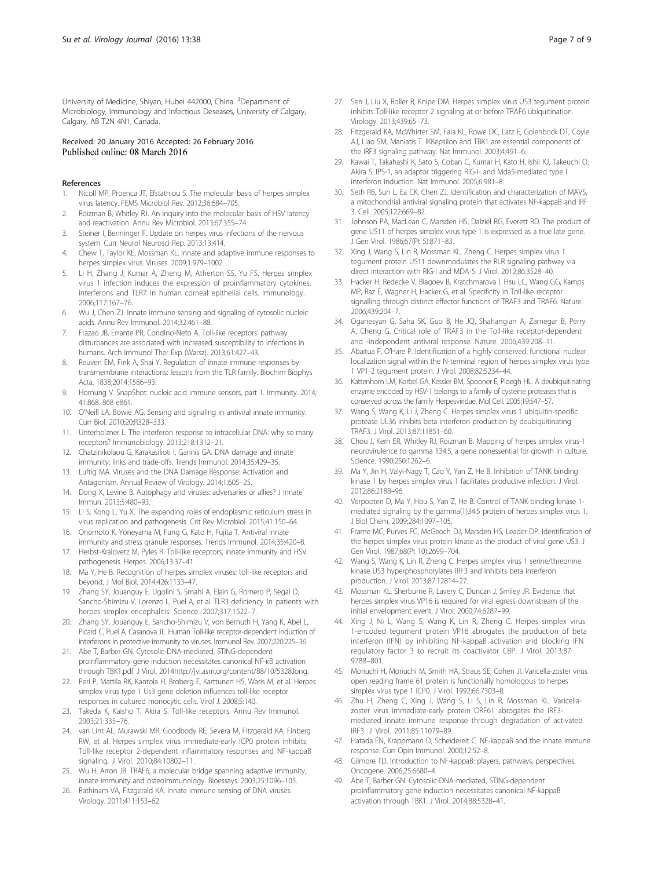<span id="page-6-0"></span>University of Medicine, Shiyan, Hubei 442000, China. <sup>3</sup>Department of Microbiology, Immunology and Infectious Deseases, University of Calgary, Calgary, AB T2N 4N1, Canada.

## Received: 20 January 2016 Accepted: 26 February 2016<br>Published online: 08 March 2016

#### References

- 1. Nicoll MP, Proenca JT, Efstathiou S. The molecular basis of herpes simplex virus latency. FEMS Microbiol Rev. 2012;36:684–705.
- Roizman B, Whitley RJ. An inquiry into the molecular basis of HSV latency and reactivation. Annu Rev Microbiol. 2013;67:355–74.
- 3. Steiner I, Benninger F. Update on herpes virus infections of the nervous system. Curr Neurol Neurosci Rep. 2013;13:414.
- 4. Chew T, Taylor KE, Mossman KL. Innate and adaptive immune responses to herpes simplex virus. Viruses. 2009;1:979–1002.
- 5. Li H, Zhang J, Kumar A, Zheng M, Atherton SS, Yu FS. Herpes simplex virus 1 infection induces the expression of proinflammatory cytokines, interferons and TLR7 in human corneal epithelial cells. Immunology. 2006;117:167–76.
- 6. Wu J, Chen ZJ. Innate immune sensing and signaling of cytosolic nucleic acids. Annu Rev Immunol. 2014;32:461–88.
- 7. Frazao JB, Errante PR, Condino-Neto A. Toll-like receptors' pathway disturbances are associated with increased susceptibility to infections in humans. Arch Immunol Ther Exp (Warsz). 2013;61:427–43.
- 8. Reuven EM, Fink A, Shai Y. Regulation of innate immune responses by transmembrane interactions: lessons from the TLR family. Biochim Biophys Acta. 1838;2014:1586–93.
- 9. Hornung V. SnapShot: nucleic acid immune sensors, part 1. Immunity. 2014; 41:868. 868 e861.
- 10. O'Neill LA, Bowie AG. Sensing and signaling in antiviral innate immunity. Curr Biol. 2010;20:R328–333.
- 11. Unterholzner L. The interferon response to intracellular DNA: why so many receptors? Immunobiology. 2013;218:1312–21.
- 12. Chatzinikolaou G, Karakasilioti I, Garinis GA. DNA damage and innate immunity: links and trade-offs. Trends Immunol. 2014;35:429–35.
- 13. Luftig MA. Viruses and the DNA Damage Response: Activation and Antagonism. Annual Review of Virology. 2014;1:605–25.
- 14. Dong X, Levine B. Autophagy and viruses: adversaries or allies? J Innate Immun. 2013;5:480–93.
- 15. Li S, Kong L, Yu X. The expanding roles of endoplasmic reticulum stress in virus replication and pathogenesis. Crit Rev Microbiol. 2015;41:150–64.
- 16. Onomoto K, Yoneyama M, Fung G, Kato H, Fujita T. Antiviral innate immunity and stress granule responses. Trends Immunol. 2014;35:420–8.
- 17. Herbst-Kralovetz M, Pyles R. Toll-like receptors, innate immunity and HSV pathogenesis. Herpes. 2006;13:37–41.
- 18. Ma Y, He B. Recognition of herpes simplex viruses: toll-like receptors and beyond. J Mol Biol. 2014;426:1133–47.
- 19. Zhang SY, Jouanguy E, Ugolini S, Smahi A, Elain G, Romero P, Segal D, Sancho-Shimizu V, Lorenzo L, Puel A, et al. TLR3 deficiency in patients with herpes simplex encephalitis. Science. 2007;317:1522–7.
- 20. Zhang SY, Jouanguy E, Sancho-Shimizu V, von Bernuth H, Yang K, Abel L, Picard C, Puel A, Casanova JL. Human Toll-like receptor-dependent induction of interferons in protective immunity to viruses. Immunol Rev. 2007;220:225–36.
- 21. Abe T, Barber GN. Cytosolic-DNA-mediated, STING-dependent proinflammatory gene induction necessitates canonical NF-κB activation through TBK1.pdf. J Virol. 2014[http://jvi.asm.org/content/88/10/5328.long.](http://jvi.asm.org/content/88/10/5328.long)
- 22. Peri P, Mattila RK, Kantola H, Broberg E, Karttunen HS, Waris M, et al. Herpes simplex virus type 1 Us3 gene deletion influences toll-like receptor responses in cultured monocytic cells. Virol J. 2008;5:140.
- 23. Takeda K, Kaisho T, Akira S. Toll-like receptors. Annu Rev Immunol. 2003;21:335–76.
- 24. van Lint AL, Murawski MR, Goodbody RE, Severa M, Fitzgerald KA, Finberg RW, et al. Herpes simplex virus immediate-early ICP0 protein inhibits Toll-like receptor 2-dependent inflammatory responses and NF-kappaB signaling. J Virol. 2010;84:10802–11.
- 25. Wu H, Arron JR. TRAF6, a molecular bridge spanning adaptive immunity, innate immunity and osteoimmunology. Bioessays. 2003;25:1096–105.
- 26. Rathinam VA, Fitzgerald KA. Innate immune sensing of DNA viruses. Virology. 2011;411:153–62.
- 27. Sen J, Liu X, Roller R, Knipe DM. Herpes simplex virus US3 tegument protein inhibits Toll-like receptor 2 signaling at or before TRAF6 ubiquitination. Virology. 2013;439:65–73.
- 28. Fitzgerald KA, McWhirter SM, Faia KL, Rowe DC, Latz E, Golenbock DT, Coyle AJ, Liao SM, Maniatis T. IKKepsilon and TBK1 are essential components of the IRF3 signaling pathway. Nat Immunol. 2003;4:491–6.
- 29. Kawai T, Takahashi K, Sato S, Coban C, Kumar H, Kato H, Ishii KJ, Takeuchi O, Akira S. IPS-1, an adaptor triggering RIG-I- and Mda5-mediated type I interferon induction. Nat Immunol. 2005;6:981–8.
- 30. Seth RB, Sun L, Ea CK, Chen ZJ. Identification and characterization of MAVS, a mitochondrial antiviral signaling protein that activates NF-kappaB and IRF 3. Cell. 2005;122:669–82.
- 31. Johnson PA, MacLean C, Marsden HS, Dalziel RG, Everett RD. The product of gene US11 of herpes simplex virus type 1 is expressed as a true late gene. J Gen Virol. 1986;67(Pt 5):871–83.
- 32. Xing J, Wang S, Lin R, Mossman KL, Zheng C. Herpes simplex virus 1 tegument protein US11 downmodulates the RLR signaling pathway via direct interaction with RIG-I and MDA-5. J Virol. 2012;86:3528–40.
- 33. Hacker H, Redecke V, Blagoev B, Kratchmarova I, Hsu LC, Wang GG, Kamps MP, Raz E, Wagner H, Hacker G, et al. Specificity in Toll-like receptor signalling through distinct effector functions of TRAF3 and TRAF6. Nature. 2006;439:204–7.
- 34. Oganesyan G, Saha SK, Guo B, He JQ, Shahangian A, Zarnegar B, Perry A, Cheng G. Critical role of TRAF3 in the Toll-like receptor-dependent and -independent antiviral response. Nature. 2006;439:208–11.
- 35. Abaitua F, O'Hare P. Identification of a highly conserved, functional nuclear localization signal within the N-terminal region of herpes simplex virus type 1 VP1-2 tegument protein. J Virol. 2008;82:5234–44.
- 36. Kattenhorn LM, Korbel GA, Kessler BM, Spooner E, Ploegh HL. A deubiquitinating enzyme encoded by HSV-1 belongs to a family of cysteine proteases that is conserved across the family Herpesviridae. Mol Cell. 2005;19:547–57.
- 37. Wang S, Wang K, Li J, Zheng C. Herpes simplex virus 1 ubiquitin-specific protease UL36 inhibits beta interferon production by deubiquitinating TRAF3. J Virol. 2013;87:11851–60.
- 38. Chou J, Kern ER, Whitley RJ, Roizman B. Mapping of herpes simplex virus-1 neurovirulence to gamma 134.5, a gene nonessential for growth in culture. Science. 1990;250:1262–6.
- 39. Ma Y, Jin H, Valyi-Nagy T, Cao Y, Yan Z, He B. Inhibition of TANK binding kinase 1 by herpes simplex virus 1 facilitates productive infection. J Virol. 2012;86:2188–96.
- 40. Verpooten D, Ma Y, Hou S, Yan Z, He B. Control of TANK-binding kinase 1 mediated signaling by the gamma(1)34.5 protein of herpes simplex virus 1. J Biol Chem. 2009;284:1097–105.
- 41. Frame MC, Purves FC, McGeoch DJ, Marsden HS, Leader DP. Identification of the herpes simplex virus protein kinase as the product of viral gene US3. J Gen Virol. 1987;68(Pt 10):2699–704.
- 42. Wang S, Wang K, Lin R, Zheng C. Herpes simplex virus 1 serine/threonine kinase US3 hyperphosphorylates IRF3 and inhibits beta interferon production. J Virol. 2013;87:12814–27.
- 43. Mossman KL, Sherburne R, Lavery C, Duncan J, Smiley JR. Evidence that herpes simplex virus VP16 is required for viral egress downstream of the initial envelopment event. J Virol. 2000;74:6287–99.
- 44. Xing J, Ni L, Wang S, Wang K, Lin R, Zheng C. Herpes simplex virus 1-encoded tegument protein VP16 abrogates the production of beta interferon (IFN) by inhibiting NF-kappaB activation and blocking IFN regulatory factor 3 to recruit its coactivator CBP. J Virol. 2013;87: 9788–801.
- 45. Moriuchi H, Moriuchi M, Smith HA, Straus SE, Cohen JI. Varicella-zoster virus open reading frame 61 protein is functionally homologous to herpes simplex virus type 1 ICP0. J Virol. 1992;66:7303–8.
- 46. Zhu H, Zheng C, Xing J, Wang S, Li S, Lin R, Mossman KL. Varicellazoster virus immediate-early protein ORF61 abrogates the IRF3 mediated innate immune response through degradation of activated IRF3. J Virol. 2011;85:11079–89.
- 47. Hatada EN, Krappmann D, Scheidereit C. NF-kappaB and the innate immune response. Curr Opin Immunol. 2000;12:52–8.
- 48. Gilmore TD. Introduction to NF-kappaB: players, pathways, perspectives. Oncogene. 2006;25:6680–4. 49. Abe T, Barber GN. Cytosolic-DNA-mediated, STING-dependent
- proinflammatory gene induction necessitates canonical NF-kappaB activation through TBK1. J Virol. 2014;88:5328–41.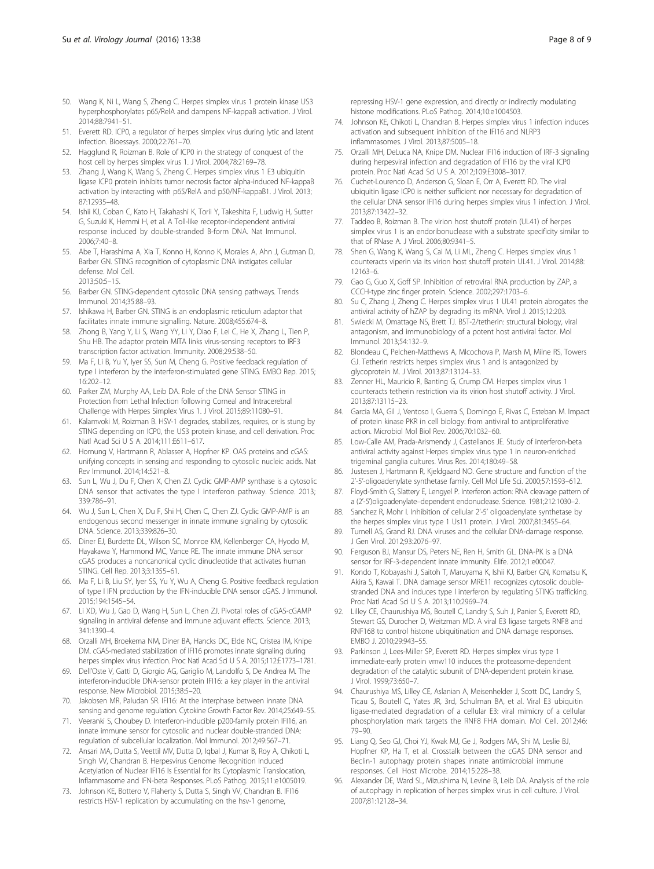- <span id="page-7-0"></span>50. Wang K, Ni L, Wang S, Zheng C. Herpes simplex virus 1 protein kinase US3 hyperphosphorylates p65/RelA and dampens NF-kappaB activation. J Virol. 2014;88:7941–51.
- 51. Everett RD. ICP0, a regulator of herpes simplex virus during lytic and latent infection. Bioessays. 2000;22:761–70.
- 52. Hagglund R, Roizman B. Role of ICP0 in the strategy of conquest of the host cell by herpes simplex virus 1. J Virol. 2004;78:2169–78.
- 53. Zhang J, Wang K, Wang S, Zheng C. Herpes simplex virus 1 E3 ubiquitin ligase ICP0 protein inhibits tumor necrosis factor alpha-induced NF-kappaB activation by interacting with p65/RelA and p50/NF-kappaB1. J Virol. 2013; 87:12935–48.
- 54. Ishii KJ, Coban C, Kato H, Takahashi K, Torii Y, Takeshita F, Ludwig H, Sutter G, Suzuki K, Hemmi H, et al. A Toll-like receptor-independent antiviral response induced by double-stranded B-form DNA. Nat Immunol. 2006;7:40–8.
- 55. Abe T, Harashima A, Xia T, Konno H, Konno K, Morales A, Ahn J, Gutman D, Barber GN. STING recognition of cytoplasmic DNA instigates cellular defense. Mol Cell. 2013;50:5–15.
- 56. Barber GN. STING-dependent cytosolic DNA sensing pathways. Trends Immunol. 2014;35:88–93.
- 57. Ishikawa H, Barber GN. STING is an endoplasmic reticulum adaptor that facilitates innate immune signalling. Nature. 2008;455:674–8.
- 58. Zhong B, Yang Y, Li S, Wang YY, Li Y, Diao F, Lei C, He X, Zhang L, Tien P, Shu HB. The adaptor protein MITA links virus-sensing receptors to IRF3 transcription factor activation. Immunity. 2008;29:538–50.
- 59. Ma F, Li B, Yu Y, Iyer SS, Sun M, Cheng G. Positive feedback regulation of type I interferon by the interferon-stimulated gene STING. EMBO Rep. 2015; 16:202–12.
- 60. Parker ZM, Murphy AA, Leib DA. Role of the DNA Sensor STING in Protection from Lethal Infection following Corneal and Intracerebral Challenge with Herpes Simplex Virus 1. J Virol. 2015;89:11080–91.
- 61. Kalamvoki M, Roizman B. HSV-1 degrades, stabilizes, requires, or is stung by STING depending on ICP0, the US3 protein kinase, and cell derivation. Proc Natl Acad Sci U S A. 2014;111:E611–617.
- 62. Hornung V, Hartmann R, Ablasser A, Hopfner KP. OAS proteins and cGAS: unifying concepts in sensing and responding to cytosolic nucleic acids. Nat Rev Immunol. 2014;14:521–8.
- 63. Sun L, Wu J, Du F, Chen X, Chen ZJ. Cyclic GMP-AMP synthase is a cytosolic DNA sensor that activates the type I interferon pathway. Science. 2013; 339:786–91.
- 64. Wu J, Sun L, Chen X, Du F, Shi H, Chen C, Chen ZJ. Cyclic GMP-AMP is an endogenous second messenger in innate immune signaling by cytosolic DNA. Science. 2013;339:826–30.
- 65. Diner EJ, Burdette DL, Wilson SC, Monroe KM, Kellenberger CA, Hyodo M, Hayakawa Y, Hammond MC, Vance RE. The innate immune DNA sensor cGAS produces a noncanonical cyclic dinucleotide that activates human STING. Cell Rep. 2013;3:1355–61.
- 66. Ma F, Li B, Liu SY, Iyer SS, Yu Y, Wu A, Cheng G. Positive feedback regulation of type I IFN production by the IFN-inducible DNA sensor cGAS. J Immunol. 2015;194:1545–54.
- 67. Li XD, Wu J, Gao D, Wang H, Sun L, Chen ZJ. Pivotal roles of cGAS-cGAMP signaling in antiviral defense and immune adjuvant effects. Science. 2013; 341:1390–4.
- 68. Orzalli MH, Broekema NM, Diner BA, Hancks DC, Elde NC, Cristea IM, Knipe DM. cGAS-mediated stabilization of IFI16 promotes innate signaling during herpes simplex virus infection. Proc Natl Acad Sci U S A. 2015;112:E1773–1781.
- 69. Dell'Oste V, Gatti D, Giorgio AG, Gariglio M, Landolfo S, De Andrea M. The interferon-inducible DNA-sensor protein IFI16: a key player in the antiviral response. New Microbiol. 2015;38:5–20.
- 70. Jakobsen MR, Paludan SR. IFI16: At the interphase between innate DNA sensing and genome regulation. Cytokine Growth Factor Rev. 2014;25:649–55.
- 71. Veeranki S, Choubey D. Interferon-inducible p200-family protein IFI16, an innate immune sensor for cytosolic and nuclear double-stranded DNA: regulation of subcellular localization. Mol Immunol. 2012;49:567–71.
- 72. Ansari MA, Dutta S, Veettil MV, Dutta D, Iqbal J, Kumar B, Roy A, Chikoti L, Singh VV, Chandran B. Herpesvirus Genome Recognition Induced Acetylation of Nuclear IFI16 Is Essential for Its Cytoplasmic Translocation, Inflammasome and IFN-beta Responses. PLoS Pathog. 2015;11:e1005019.
- 73. Johnson KE, Bottero V, Flaherty S, Dutta S, Singh VV, Chandran B. IFI16 restricts HSV-1 replication by accumulating on the hsv-1 genome,

repressing HSV-1 gene expression, and directly or indirectly modulating histone modifications. PLoS Pathog. 2014;10:e1004503.

- 74. Johnson KE, Chikoti L, Chandran B. Herpes simplex virus 1 infection induces activation and subsequent inhibition of the IFI16 and NLRP3 inflammasomes. J Virol. 2013;87:5005–18.
- 75. Orzalli MH, DeLuca NA, Knipe DM. Nuclear IFI16 induction of IRF-3 signaling during herpesviral infection and degradation of IFI16 by the viral ICP0 protein. Proc Natl Acad Sci U S A. 2012;109:E3008–3017.
- 76. Cuchet-Lourenco D, Anderson G, Sloan E, Orr A, Everett RD. The viral ubiquitin ligase ICP0 is neither sufficient nor necessary for degradation of the cellular DNA sensor IFI16 during herpes simplex virus 1 infection. J Virol. 2013;87:13422–32.
- 77. Taddeo B, Roizman B. The virion host shutoff protein (UL41) of herpes simplex virus 1 is an endoribonuclease with a substrate specificity similar to that of RNase A. J Virol. 2006;80:9341–5.
- 78. Shen G, Wang K, Wang S, Cai M, Li ML, Zheng C. Herpes simplex virus 1 counteracts viperin via its virion host shutoff protein UL41. J Virol. 2014;88: 12163–6.
- 79. Gao G, Guo X, Goff SP. Inhibition of retroviral RNA production by ZAP, a CCCH-type zinc finger protein. Science. 2002;297:1703–6.
- 80. Su C, Zhang J, Zheng C. Herpes simplex virus 1 UL41 protein abrogates the antiviral activity of hZAP by degrading its mRNA. Virol J. 2015;12:203.
- 81. Swiecki M, Omattage NS, Brett TJ. BST-2/tetherin: structural biology, viral antagonism, and immunobiology of a potent host antiviral factor. Mol Immunol. 2013;54:132–9.
- 82. Blondeau C, Pelchen-Matthews A, Mlcochova P, Marsh M, Milne RS, Towers GJ. Tetherin restricts herpes simplex virus 1 and is antagonized by glycoprotein M. J Virol. 2013;87:13124–33.
- 83. Zenner HL, Mauricio R, Banting G, Crump CM. Herpes simplex virus 1 counteracts tetherin restriction via its virion host shutoff activity. J Virol. 2013;87:13115–23.
- 84. Garcia MA, Gil J, Ventoso I, Guerra S, Domingo E, Rivas C, Esteban M. Impact of protein kinase PKR in cell biology: from antiviral to antiproliferative action. Microbiol Mol Biol Rev. 2006;70:1032–60.
- 85. Low-Calle AM, Prada-Arismendy J, Castellanos JE. Study of interferon-beta antiviral activity against Herpes simplex virus type 1 in neuron-enriched trigeminal ganglia cultures. Virus Res. 2014;180:49–58.
- 86. Justesen J, Hartmann R, Kjeldgaard NO. Gene structure and function of the 2'-5'-oligoadenylate synthetase family. Cell Mol Life Sci. 2000;57:1593–612.
- 87. Floyd-Smith G, Slattery E, Lengyel P. Interferon action: RNA cleavage pattern of a (2'-5')oligoadenylate–dependent endonuclease. Science. 1981;212:1030–2.
- 88. Sanchez R, Mohr I. Inhibition of cellular 2'-5' oligoadenylate synthetase by the herpes simplex virus type 1 Us11 protein. J Virol. 2007;81:3455–64.
- 89. Turnell AS, Grand RJ. DNA viruses and the cellular DNA-damage response. J Gen Virol. 2012;93:2076–97.
- 90. Ferguson BJ, Mansur DS, Peters NE, Ren H, Smith GL. DNA-PK is a DNA sensor for IRF-3-dependent innate immunity. Elife. 2012;1:e00047.
- 91. Kondo T, Kobayashi J, Saitoh T, Maruyama K, Ishii KJ, Barber GN, Komatsu K, Akira S, Kawai T. DNA damage sensor MRE11 recognizes cytosolic doublestranded DNA and induces type I interferon by regulating STING trafficking. Proc Natl Acad Sci U S A. 2013;110:2969–74.
- 92. Lilley CE, Chaurushiya MS, Boutell C, Landry S, Suh J, Panier S, Everett RD, Stewart GS, Durocher D, Weitzman MD. A viral E3 ligase targets RNF8 and RNF168 to control histone ubiquitination and DNA damage responses. EMBO J. 2010;29:943–55.
- 93. Parkinson J, Lees-Miller SP, Everett RD. Herpes simplex virus type 1 immediate-early protein vmw110 induces the proteasome-dependent degradation of the catalytic subunit of DNA-dependent protein kinase. J Virol. 1999;73:650–7.
- 94. Chaurushiya MS, Lilley CE, Aslanian A, Meisenhelder J, Scott DC, Landry S, Ticau S, Boutell C, Yates JR, 3rd, Schulman BA, et al. Viral E3 ubiquitin ligase-mediated degradation of a cellular E3: viral mimicry of a cellular phosphorylation mark targets the RNF8 FHA domain. Mol Cell. 2012;46: 79–90.
- 95. Liang Q, Seo GJ, Choi YJ, Kwak MJ, Ge J, Rodgers MA, Shi M, Leslie BJ, Hopfner KP, Ha T, et al. Crosstalk between the cGAS DNA sensor and Beclin-1 autophagy protein shapes innate antimicrobial immune responses. Cell Host Microbe. 2014;15:228–38.
- 96. Alexander DE, Ward SL, Mizushima N, Levine B, Leib DA. Analysis of the role of autophagy in replication of herpes simplex virus in cell culture. J Virol. 2007;81:12128–34.